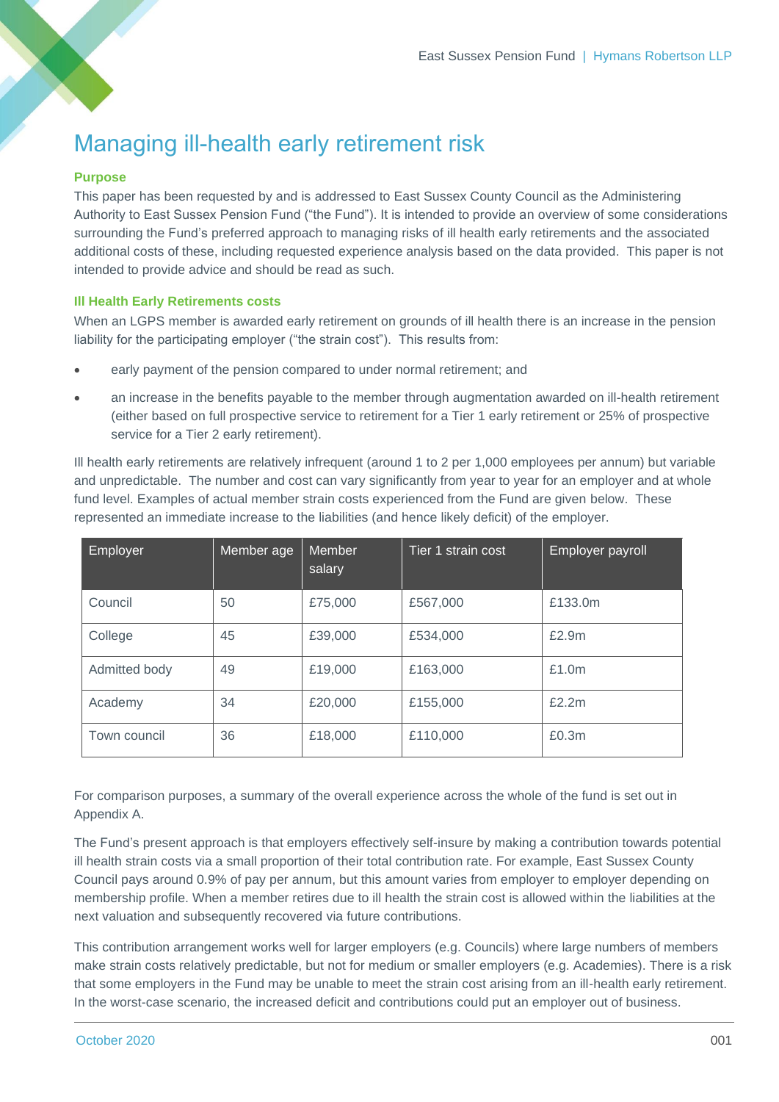## Managing ill-health early retirement risk

## **Purpose**

This paper has been requested by and is addressed to East Sussex County Council as the Administering Authority to East Sussex Pension Fund ("the Fund"). It is intended to provide an overview of some considerations surrounding the Fund's preferred approach to managing risks of ill health early retirements and the associated additional costs of these, including requested experience analysis based on the data provided. This paper is not intended to provide advice and should be read as such.

## **Ill Health Early Retirements costs**

When an LGPS member is awarded early retirement on grounds of ill health there is an increase in the pension liability for the participating employer ("the strain cost"). This results from:

- early payment of the pension compared to under normal retirement; and
- an increase in the benefits payable to the member through augmentation awarded on ill-health retirement (either based on full prospective service to retirement for a Tier 1 early retirement or 25% of prospective service for a Tier 2 early retirement).

Ill health early retirements are relatively infrequent (around 1 to 2 per 1,000 employees per annum) but variable and unpredictable. The number and cost can vary significantly from year to year for an employer and at whole fund level. Examples of actual member strain costs experienced from the Fund are given below. These represented an immediate increase to the liabilities (and hence likely deficit) of the employer.

| Employer      | Member age | Member<br>salary | Tier 1 strain cost | Employer payroll |
|---------------|------------|------------------|--------------------|------------------|
| Council       | 50         | £75,000          | £567,000           | £133.0m          |
| College       | 45         | £39,000          | £534,000           | £2.9m            |
| Admitted body | 49         | £19,000          | £163,000           | £1.0m            |
| Academy       | 34         | £20,000          | £155,000           | £2.2m            |
| Town council  | 36         | £18,000          | £110,000           | £0.3m            |

For comparison purposes, a summary of the overall experience across the whole of the fund is set out in Appendix A.

The Fund's present approach is that employers effectively self-insure by making a contribution towards potential ill health strain costs via a small proportion of their total contribution rate. For example, East Sussex County Council pays around 0.9% of pay per annum, but this amount varies from employer to employer depending on membership profile. When a member retires due to ill health the strain cost is allowed within the liabilities at the next valuation and subsequently recovered via future contributions.

This contribution arrangement works well for larger employers (e.g. Councils) where large numbers of members make strain costs relatively predictable, but not for medium or smaller employers (e.g. Academies). There is a risk that some employers in the Fund may be unable to meet the strain cost arising from an ill-health early retirement. In the worst-case scenario, the increased deficit and contributions could put an employer out of business.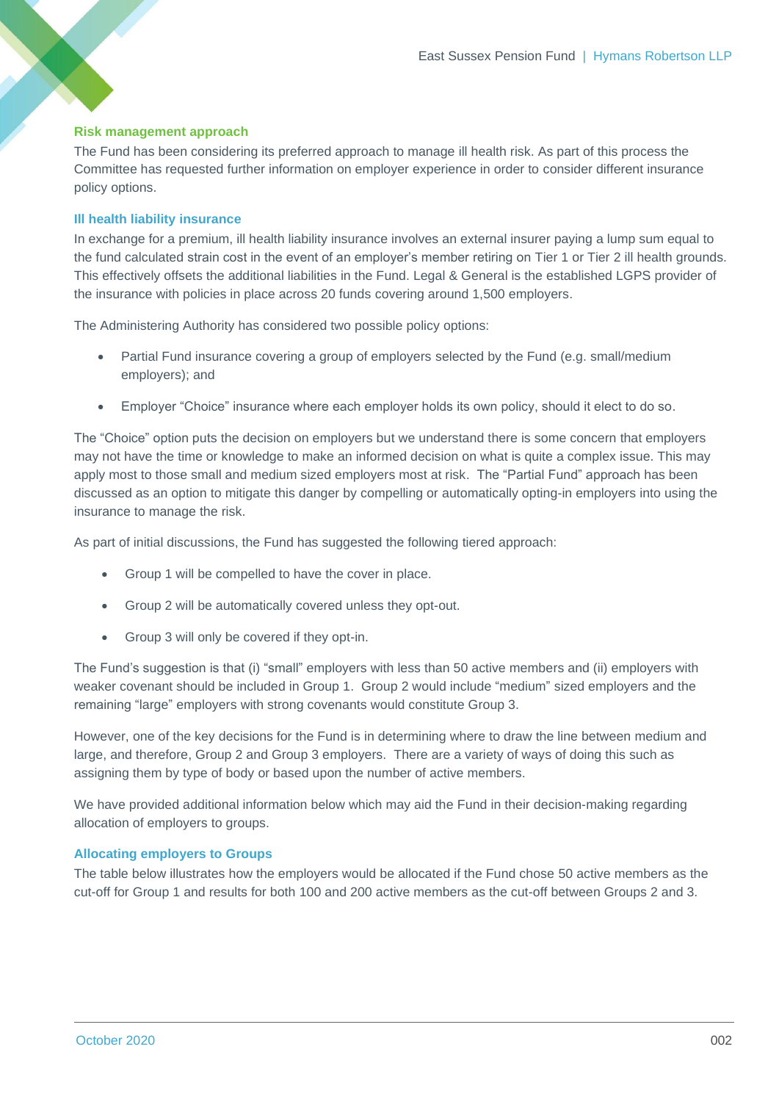## **Risk management approach**

The Fund has been considering its preferred approach to manage ill health risk. As part of this process the Committee has requested further information on employer experience in order to consider different insurance policy options.

#### **Ill health liability insurance**

In exchange for a premium, ill health liability insurance involves an external insurer paying a lump sum equal to the fund calculated strain cost in the event of an employer's member retiring on Tier 1 or Tier 2 ill health grounds. This effectively offsets the additional liabilities in the Fund. Legal & General is the established LGPS provider of the insurance with policies in place across 20 funds covering around 1,500 employers.

The Administering Authority has considered two possible policy options:

- Partial Fund insurance covering a group of employers selected by the Fund (e.g. small/medium employers); and
- Employer "Choice" insurance where each employer holds its own policy, should it elect to do so.

The "Choice" option puts the decision on employers but we understand there is some concern that employers may not have the time or knowledge to make an informed decision on what is quite a complex issue. This may apply most to those small and medium sized employers most at risk. The "Partial Fund" approach has been discussed as an option to mitigate this danger by compelling or automatically opting-in employers into using the insurance to manage the risk.

As part of initial discussions, the Fund has suggested the following tiered approach:

- Group 1 will be compelled to have the cover in place.
- Group 2 will be automatically covered unless they opt-out.
- Group 3 will only be covered if they opt-in.

The Fund's suggestion is that (i) "small" employers with less than 50 active members and (ii) employers with weaker covenant should be included in Group 1. Group 2 would include "medium" sized employers and the remaining "large" employers with strong covenants would constitute Group 3.

However, one of the key decisions for the Fund is in determining where to draw the line between medium and large, and therefore, Group 2 and Group 3 employers. There are a variety of ways of doing this such as assigning them by type of body or based upon the number of active members.

We have provided additional information below which may aid the Fund in their decision-making regarding allocation of employers to groups.

## **Allocating employers to Groups**

The table below illustrates how the employers would be allocated if the Fund chose 50 active members as the cut-off for Group 1 and results for both 100 and 200 active members as the cut-off between Groups 2 and 3.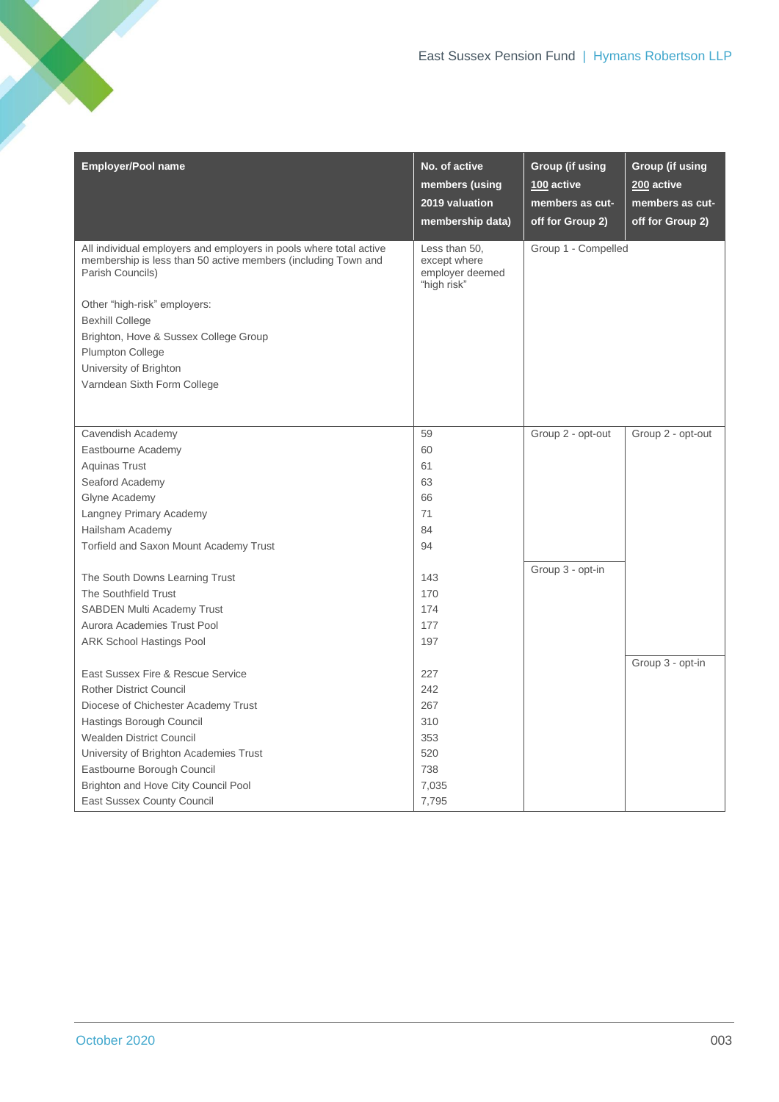| <b>Employer/Pool name</b>                                                                                                                                                               | No. of active<br>members (using<br>2019 valuation<br>membership data) | <b>Group (if using</b><br>100 active<br>members as cut-<br>off for Group 2) | <b>Group (if using</b><br>200 active<br>members as cut-<br>off for Group 2) |
|-----------------------------------------------------------------------------------------------------------------------------------------------------------------------------------------|-----------------------------------------------------------------------|-----------------------------------------------------------------------------|-----------------------------------------------------------------------------|
| All individual employers and employers in pools where total active<br>membership is less than 50 active members (including Town and<br>Parish Councils)<br>Other "high-risk" employers: | Less than 50,<br>except where<br>employer deemed<br>"high risk"       | Group 1 - Compelled                                                         |                                                                             |
| <b>Bexhill College</b>                                                                                                                                                                  |                                                                       |                                                                             |                                                                             |
| Brighton, Hove & Sussex College Group                                                                                                                                                   |                                                                       |                                                                             |                                                                             |
| Plumpton College                                                                                                                                                                        |                                                                       |                                                                             |                                                                             |
| University of Brighton                                                                                                                                                                  |                                                                       |                                                                             |                                                                             |
| Varndean Sixth Form College                                                                                                                                                             |                                                                       |                                                                             |                                                                             |
|                                                                                                                                                                                         |                                                                       |                                                                             |                                                                             |
| Cavendish Academy                                                                                                                                                                       | 59                                                                    | Group 2 - opt-out                                                           | Group 2 - opt-out                                                           |
| Eastbourne Academy                                                                                                                                                                      | 60                                                                    |                                                                             |                                                                             |
| <b>Aquinas Trust</b>                                                                                                                                                                    | 61                                                                    |                                                                             |                                                                             |
| Seaford Academy                                                                                                                                                                         | 63                                                                    |                                                                             |                                                                             |
| Glyne Academy                                                                                                                                                                           | 66                                                                    |                                                                             |                                                                             |
| Langney Primary Academy                                                                                                                                                                 | 71                                                                    |                                                                             |                                                                             |
| Hailsham Academy                                                                                                                                                                        | 84                                                                    |                                                                             |                                                                             |
| Torfield and Saxon Mount Academy Trust                                                                                                                                                  | 94                                                                    |                                                                             |                                                                             |
| The South Downs Learning Trust                                                                                                                                                          | 143                                                                   | Group 3 - opt-in                                                            |                                                                             |
| The Southfield Trust                                                                                                                                                                    | 170                                                                   |                                                                             |                                                                             |
| <b>SABDEN Multi Academy Trust</b>                                                                                                                                                       | 174                                                                   |                                                                             |                                                                             |
| Aurora Academies Trust Pool                                                                                                                                                             | 177                                                                   |                                                                             |                                                                             |
| <b>ARK School Hastings Pool</b>                                                                                                                                                         | 197                                                                   |                                                                             |                                                                             |
| East Sussex Fire & Rescue Service                                                                                                                                                       | 227                                                                   |                                                                             | Group 3 - opt-in                                                            |
| <b>Rother District Council</b>                                                                                                                                                          | 242                                                                   |                                                                             |                                                                             |
| Diocese of Chichester Academy Trust                                                                                                                                                     | 267                                                                   |                                                                             |                                                                             |
| Hastings Borough Council                                                                                                                                                                | 310                                                                   |                                                                             |                                                                             |
| <b>Wealden District Council</b>                                                                                                                                                         | 353                                                                   |                                                                             |                                                                             |
| University of Brighton Academies Trust                                                                                                                                                  | 520                                                                   |                                                                             |                                                                             |
| Eastbourne Borough Council                                                                                                                                                              | 738                                                                   |                                                                             |                                                                             |
| Brighton and Hove City Council Pool                                                                                                                                                     | 7,035                                                                 |                                                                             |                                                                             |
| <b>East Sussex County Council</b>                                                                                                                                                       | 7,795                                                                 |                                                                             |                                                                             |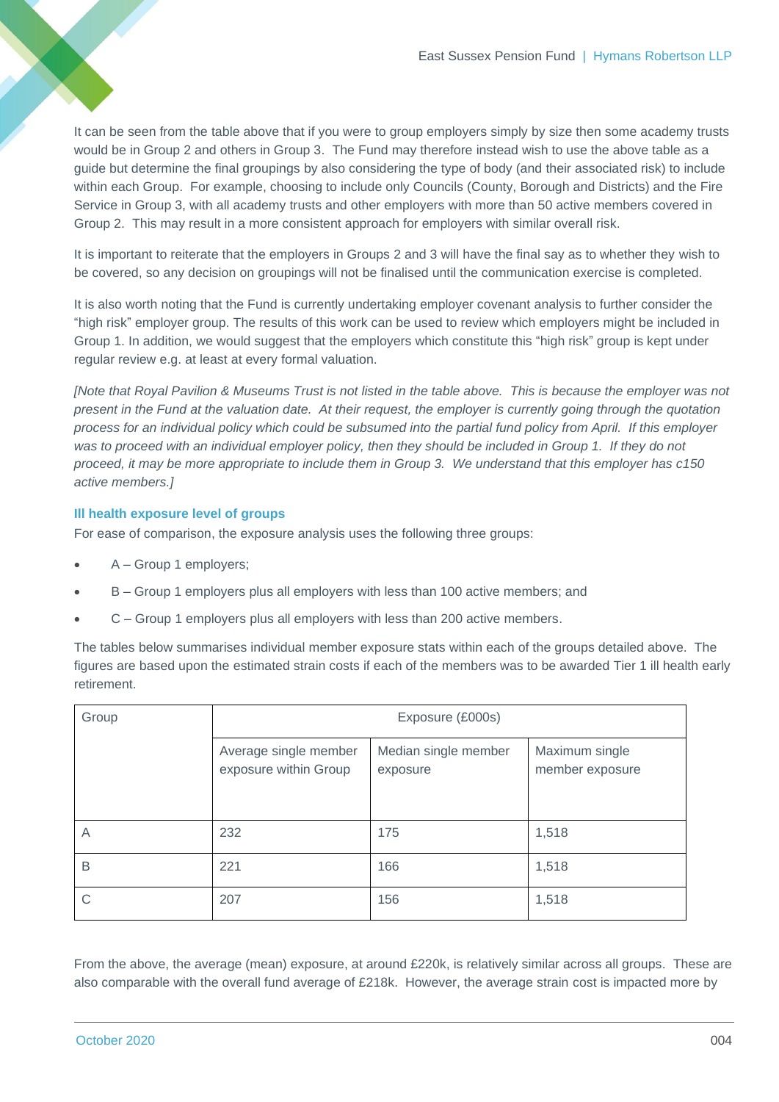It can be seen from the table above that if you were to group employers simply by size then some academy trusts would be in Group 2 and others in Group 3. The Fund may therefore instead wish to use the above table as a guide but determine the final groupings by also considering the type of body (and their associated risk) to include within each Group. For example, choosing to include only Councils (County, Borough and Districts) and the Fire Service in Group 3, with all academy trusts and other employers with more than 50 active members covered in Group 2. This may result in a more consistent approach for employers with similar overall risk.

It is important to reiterate that the employers in Groups 2 and 3 will have the final say as to whether they wish to be covered, so any decision on groupings will not be finalised until the communication exercise is completed.

It is also worth noting that the Fund is currently undertaking employer covenant analysis to further consider the "high risk" employer group. The results of this work can be used to review which employers might be included in Group 1. In addition, we would suggest that the employers which constitute this "high risk" group is kept under regular review e.g. at least at every formal valuation.

*[Note that Royal Pavilion & Museums Trust is not listed in the table above. This is because the employer was not present in the Fund at the valuation date. At their request, the employer is currently going through the quotation process for an individual policy which could be subsumed into the partial fund policy from April. If this employer was to proceed with an individual employer policy, then they should be included in Group 1. If they do not proceed, it may be more appropriate to include them in Group 3. We understand that this employer has c150 active members.]*

## **Ill health exposure level of groups**

For ease of comparison, the exposure analysis uses the following three groups:

- A Group 1 employers;
- B Group 1 employers plus all employers with less than 100 active members; and
- C Group 1 employers plus all employers with less than 200 active members.

The tables below summarises individual member exposure stats within each of the groups detailed above. The figures are based upon the estimated strain costs if each of the members was to be awarded Tier 1 ill health early retirement.

| Group | Exposure (£000s)                               |                                  |                                   |  |
|-------|------------------------------------------------|----------------------------------|-----------------------------------|--|
|       | Average single member<br>exposure within Group | Median single member<br>exposure | Maximum single<br>member exposure |  |
| A     | 232                                            | 175                              | 1,518                             |  |
| B     | 221                                            | 166                              | 1,518                             |  |
|       | 207                                            | 156                              | 1,518                             |  |

From the above, the average (mean) exposure, at around £220k, is relatively similar across all groups. These are also comparable with the overall fund average of £218k. However, the average strain cost is impacted more by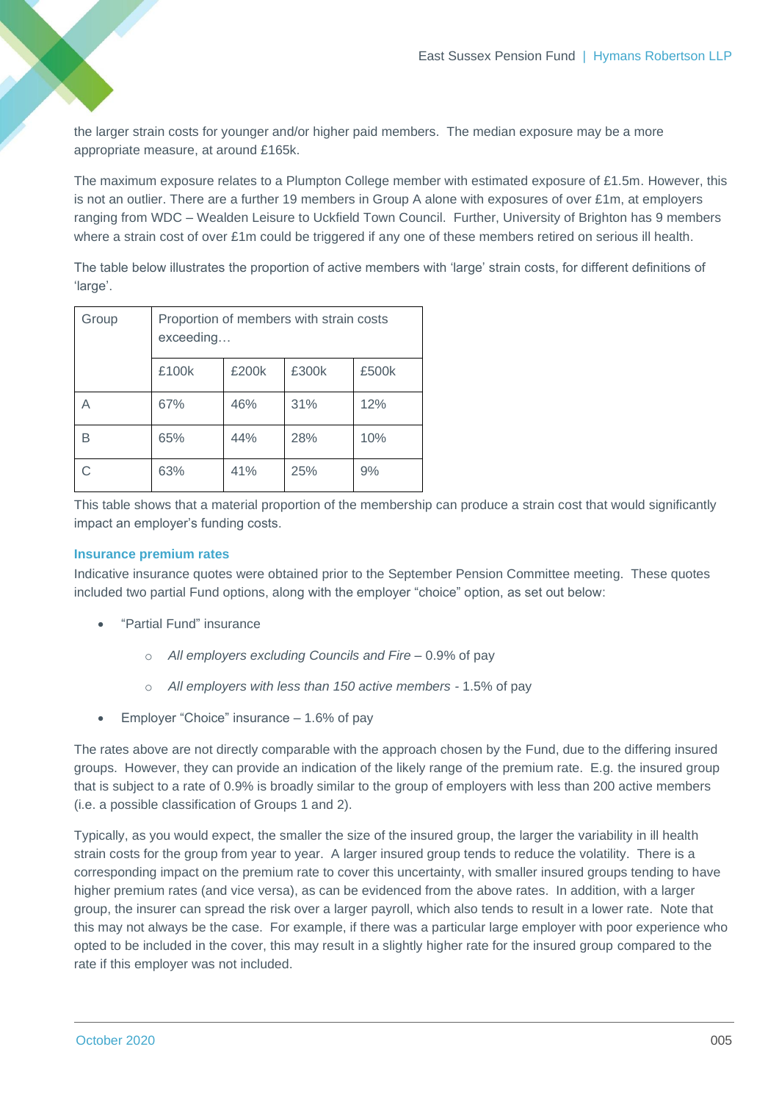the larger strain costs for younger and/or higher paid members. The median exposure may be a more appropriate measure, at around £165k.

The maximum exposure relates to a Plumpton College member with estimated exposure of £1.5m. However, this is not an outlier. There are a further 19 members in Group A alone with exposures of over £1m, at employers ranging from WDC – Wealden Leisure to Uckfield Town Council. Further, University of Brighton has 9 members where a strain cost of over £1m could be triggered if any one of these members retired on serious ill health.

The table below illustrates the proportion of active members with 'large' strain costs, for different definitions of 'large'.

| Group | Proportion of members with strain costs<br>exceeding |       |       |       |
|-------|------------------------------------------------------|-------|-------|-------|
|       | £100k                                                | £200k | £300k | £500k |
| А     | 67%                                                  | 46%   | 31%   | 12%   |
| В     | 65%                                                  | 44%   | 28%   | 10%   |
|       | 63%                                                  | 41%   | 25%   | 9%    |

This table shows that a material proportion of the membership can produce a strain cost that would significantly impact an employer's funding costs.

## **Insurance premium rates**

Indicative insurance quotes were obtained prior to the September Pension Committee meeting. These quotes included two partial Fund options, along with the employer "choice" option, as set out below:

- "Partial Fund" insurance
	- o *All employers excluding Councils and Fire –* 0.9% of pay
	- o *All employers with less than 150 active members -* 1.5% of pay
- Employer "Choice" insurance 1.6% of pay

The rates above are not directly comparable with the approach chosen by the Fund, due to the differing insured groups. However, they can provide an indication of the likely range of the premium rate. E.g. the insured group that is subject to a rate of 0.9% is broadly similar to the group of employers with less than 200 active members (i.e. a possible classification of Groups 1 and 2).

Typically, as you would expect, the smaller the size of the insured group, the larger the variability in ill health strain costs for the group from year to year. A larger insured group tends to reduce the volatility. There is a corresponding impact on the premium rate to cover this uncertainty, with smaller insured groups tending to have higher premium rates (and vice versa), as can be evidenced from the above rates. In addition, with a larger group, the insurer can spread the risk over a larger payroll, which also tends to result in a lower rate. Note that this may not always be the case. For example, if there was a particular large employer with poor experience who opted to be included in the cover, this may result in a slightly higher rate for the insured group compared to the rate if this employer was not included.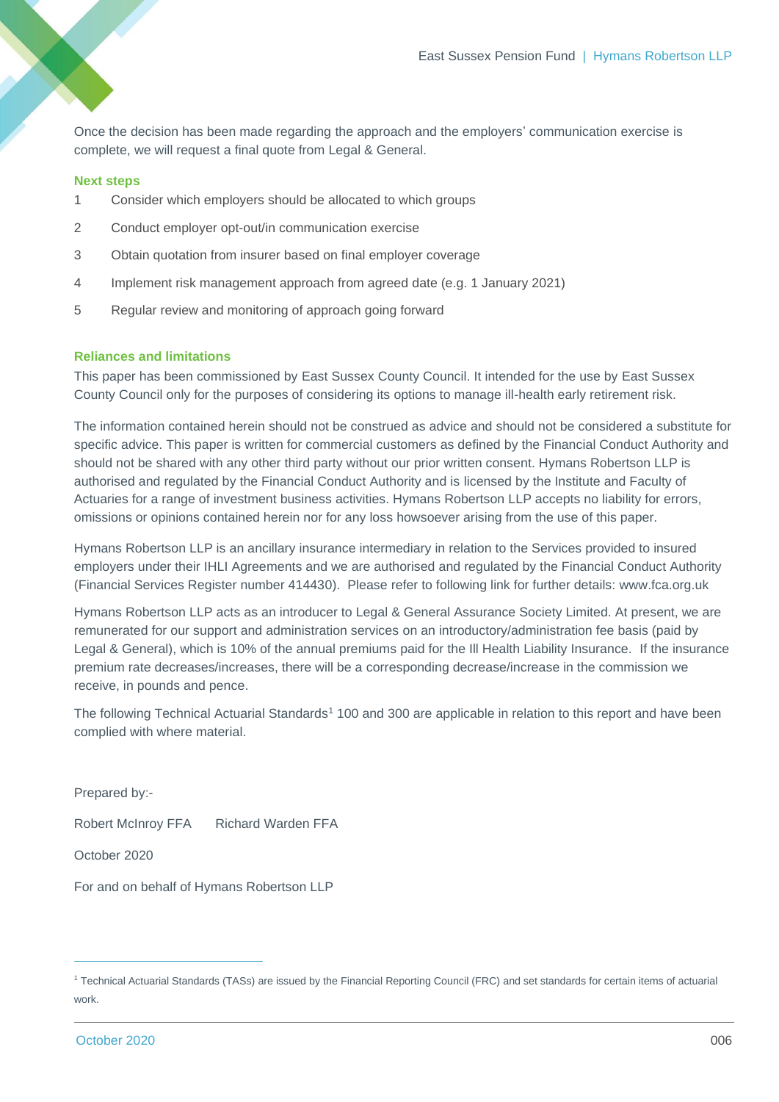Once the decision has been made regarding the approach and the employers' communication exercise is complete, we will request a final quote from Legal & General.

#### **Next steps**

- 1 Consider which employers should be allocated to which groups
- 2 Conduct employer opt-out/in communication exercise
- 3 Obtain quotation from insurer based on final employer coverage
- 4 Implement risk management approach from agreed date (e.g. 1 January 2021)
- 5 Regular review and monitoring of approach going forward

#### **Reliances and limitations**

This paper has been commissioned by East Sussex County Council. It intended for the use by East Sussex County Council only for the purposes of considering its options to manage ill-health early retirement risk.

The information contained herein should not be construed as advice and should not be considered a substitute for specific advice. This paper is written for commercial customers as defined by the Financial Conduct Authority and should not be shared with any other third party without our prior written consent. Hymans Robertson LLP is authorised and regulated by the Financial Conduct Authority and is licensed by the Institute and Faculty of Actuaries for a range of investment business activities. Hymans Robertson LLP accepts no liability for errors, omissions or opinions contained herein nor for any loss howsoever arising from the use of this paper.

Hymans Robertson LLP is an ancillary insurance intermediary in relation to the Services provided to insured employers under their IHLI Agreements and we are authorised and regulated by the Financial Conduct Authority (Financial Services Register number 414430). Please refer to following link for further details: [www.fca.org.uk](http://www.fca.org.uk/)

Hymans Robertson LLP acts as an introducer to Legal & General Assurance Society Limited. At present, we are remunerated for our support and administration services on an introductory/administration fee basis (paid by Legal & General), which is 10% of the annual premiums paid for the Ill Health Liability Insurance. If the insurance premium rate decreases/increases, there will be a corresponding decrease/increase in the commission we receive, in pounds and pence.

The following Technical Actuarial Standards<sup>1</sup> 100 and 300 are applicable in relation to this report and have been complied with where material.

Prepared by:-

Robert McInroy FFA Richard Warden FFA

October 2020

For and on behalf of Hymans Robertson LLP

<sup>1</sup> Technical Actuarial Standards (TASs) are issued by the Financial Reporting Council (FRC) and set standards for certain items of actuarial work.